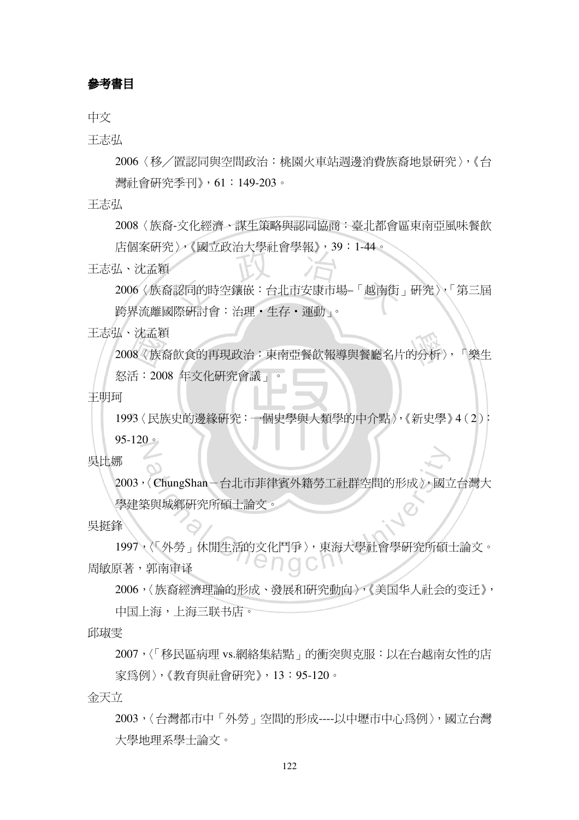## 參考書目

中文

王志弘

2006〈移╱置認同與空間政治:桃園火車站週邊消費族裔地景研究〉,《台 灣社會研究季刊》,61:149-203。

王志弘

2008〈族裔-文化經濟、謀生策略與認同協商:臺北都會區東南亞風味餐飲

店個案研究〉,《國立政治大學社會學報》,39:1-44。

王志弘、沈孟穎

2006〈族裔認同的時空鑲嵌:台北市安康市場–「越南街」研究〉,「第三屆 跨界流離國際研討會:治理・生存・運動」。

王志弘、沈孟穎

2008〈族裔飲食的再現政治:東南亞餐飲報導與餐廳名片的分析〉,「樂生

怒活:2008 年文化研究會議」。

王明珂

1993〈民族史的邊緣研究:一個史學與人類學的中介點〉,《新史學》4(2):

95-120 $\circ$ 

吳比娜

2003,〈ChungShan-台北市菲律賓外籍勞工社群空間的形成〉,國立台灣大 學建築與城鄉研究所碩士論文。

## 吳挺鋒

1997,〈「外勞」休閒生活的文化鬥爭〉,東海大學社會學研究所碩士論文。 "enach 周敏原著,郭南审译

2006,〈族裔經濟理論的形成、發展和研究動向〉,《美国华人社会的变迁》,

中国上海,上海三联书店。

邱琡雯

2007,〈「移民區病理 vs.網絡集結點」的衝突與克服:以在台越南女性的店 家為例〉,《教育與社會研究》,13:95-120。

金天立

2003,〈台灣都市中「外勞」空間的形成----以中壢市中心為例〉,國立台灣 大學地理系學士論文。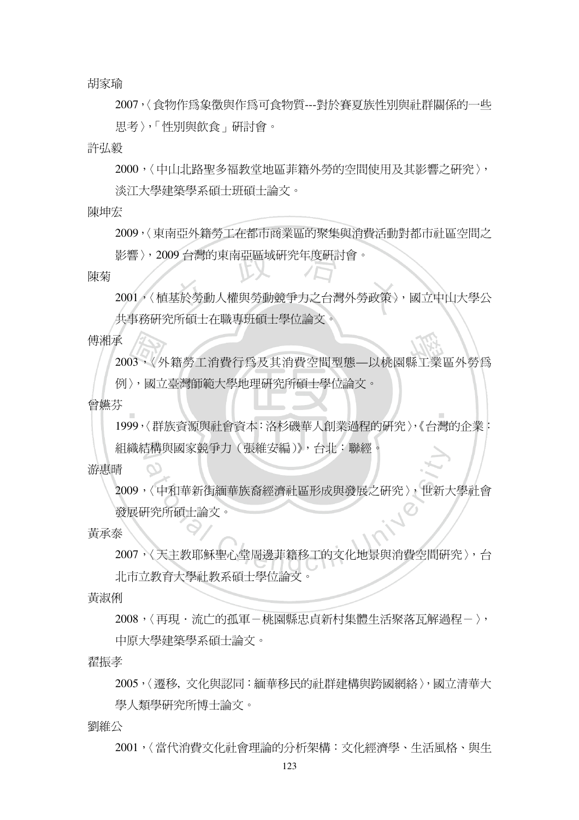胡家瑜

2007,〈食物作為象徵與作為可食物質---對於賽夏族性別與社群關係的一些 思考〉,「性別與飲食」研討會。

許弘毅

2000,〈中山北路聖多福教堂地區菲籍外勞的空間使用及其影響之研究〉, 淡江大學建築學系碩士班碩士論文。

陳坤宏

2009,〈東南亞外籍勞工在都市商業區的聚集與消費活動對都市社區空間之

影響〉,2009 台灣的東南亞區域研究年度研討會。

- 1

陳菊

2001,〈植基於勞動人權與勞動競爭力之台灣外勞政策〉,國立中山大學公 共事務研究所碩士在職專班碩士學位論文。

傅湘承

2003,〈外籍勞工消費行為及其消費空間型態—以桃園縣工業區外勞為

例〉,國立臺灣師範大學地理研究所碩士學位論文。

曾嬿芬

1999,〈群族資源與社會資本:洛杉磯華人創業過程的研究〉,《台灣的企業:

組織結構與國家競爭力(張維安編)》,台北:聯經。

游惠晴

 $\mathcal{O}$ 

2009,〈中和華新街緬華族裔經濟社區形成與發展之研究〉,世新大學社會 發展研究所碩士論文。

黃承泰

2007,〈天主教耶穌聖心堂周邊菲籍移工的文化地景與消費空間研究〉,台 北市立教育大學社教系碩士學位論文。

黃淑俐

2008,〈再現·流广的孤軍-桃園縣忠貞新村集體牛活聚落瓦解過程-〉,

中原大學建築學系碩士論文。

翟振孝

2005,〈遷移, 文化與認同:緬華移民的社群建構與跨國網絡〉,國立清華大 學人類學研究所博士論文。

劉維公

2001,〈當代消費文化社會理論的分析架構:文化經濟學、生活風格、與生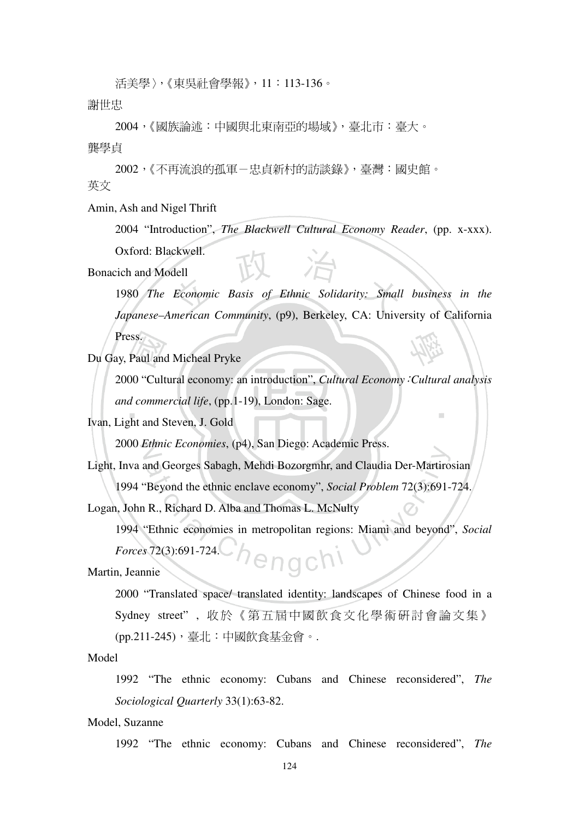活美學〉,《東吳社會學報》,11:113-136。

謝世忠

2004,《國族論述:中國與北東南亞的場域》,臺北市:臺大。

龔學貞

2002,《不再流浪的孤軍-忠貞新村的訪談錄》,臺灣:國史館。 英文

Amin, Ash and Nigel Thrift

2004 "Introduction", *The Blackwell Cultural Economy Reader*, (pp. x-xxx). Oxford: Blackwell.

Bonacich and Modell

1980 *The Economic Basis of Ethnic Solidarity: Small business in the Japanese–American Community*, (p9), Berkeley, CA: University of California Press.

Du Gay, Paul and Micheal Pryke

2000 "Cultural economy: an introduction", *Cultural Economy*:*Cultural analysis and commercial life*, (pp.1-19), London: Sage.

Ivan, Light and Steven, J. Gold

2000 *Ethnic Economies*, (p4), San Diego: Academic Press.

Light, Inva and Georges Sabagh, Mehdi Bozorgmhr, and Claudia Der-Martirosian

1994 "Beyond the ethnic enclave economy", *Social Problem* 72(3):691-724.

Logan, John R., Richard D. Alba and Thomas L. McNulty

1994 "Ethnic economies in metropolitan regions: Miami and beyond", *Social Forces* 72(3):691-724. enach<sup>1</sup>

Martin, Jeannie

2000 "Translated space/ translated identity: landscapes of Chinese food in a Sydney street", 收於《第五屆中國飲食文化學術研討會論文集》 (pp.211-245),臺北:中國飲食基金會。.

Model

1992 "The ethnic economy: Cubans and Chinese reconsidered", *The Sociological Quarterly* 33(1):63-82.

Model, Suzanne

1992 "The ethnic economy: Cubans and Chinese reconsidered", *The*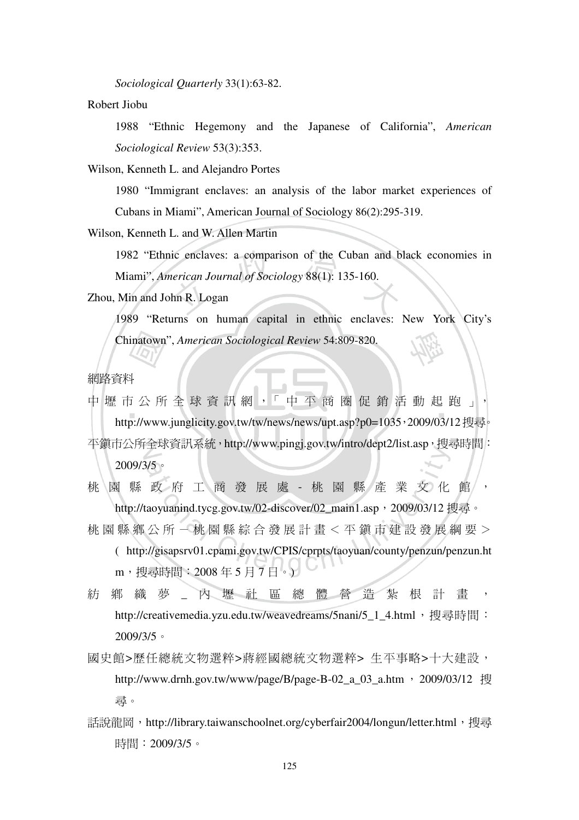*Sociological Quarterly* 33(1):63-82.

Robert Jiobu

1988 "Ethnic Hegemony and the Japanese of California", *American Sociological Review* 53(3):353.

Wilson, Kenneth L. and Alejandro Portes

1980 "Immigrant enclaves: an analysis of the labor market experiences of Cubans in Miami", American Journal of Sociology 86(2):295-319.

Wilson, Kenneth L. and W. Allen Martin

1982 "Ethnic enclaves: a comparison of the Cuban and black economies in Miami", *American Journal of Sociology* 88(1): 135-160.

Zhou, Min and John R. Logan

1989 "Returns on human capital in ethnic enclaves: New York City's Chinatown", *American Sociological Review* 54:809-820.

網路資料

中 壢 市 公 所 全 球 資 訊 網 ,「 中 平 商 圈 促 銷 活 動 起 跑 」, http://www.junglicity.gov.tw/tw/news/news/upt.asp?p0=1035,2009/03/12搜尋。 平鎮市公所全球資訊系統,http://www.pingj.gov.tw/intro/dept2/list.asp,搜尋時間: 2009/3/5。

桃園縣政府工商發展處 - 桃園縣產業文化館, http://taoyuanind.tycg.gov.tw/02-discover/02\_main1.asp, 2009/03/12 搜尋。

林 園 縣 鄉 公 所 - 桃 園 縣 綜 合 發 展 計 書 < 平 鎮 市 建 設 發 展 綱 要 > ( http://gisapsrv01.cpami.gov.tw/CPIS/cprpts/taoyuan/county/penzun/penzun.ht

m,搜尋時間:2008 年 5 月 7 日。)

紡 鄉 織 夢 こ 內 壢 社 區 總 體 營 浩 紮 根 計 書 http://creativemedia.yzu.edu.tw/weavedreams/5nani/5\_1\_4.html,搏尋時間: 2009/3/5。

- 國史館>歷任總統文物選粹>蔣經國總統文物選粹> 生平事略>十大建設, http://www.drnh.gov.tw/www/page/B/page-B-02 a 03 a.htm, 2009/03/12 搜 尋。
- 話說龍岡, http://library.taiwanschoolnet.org/cyberfair2004/longun/letter.html, 搜尋 時間:2009/3/5。